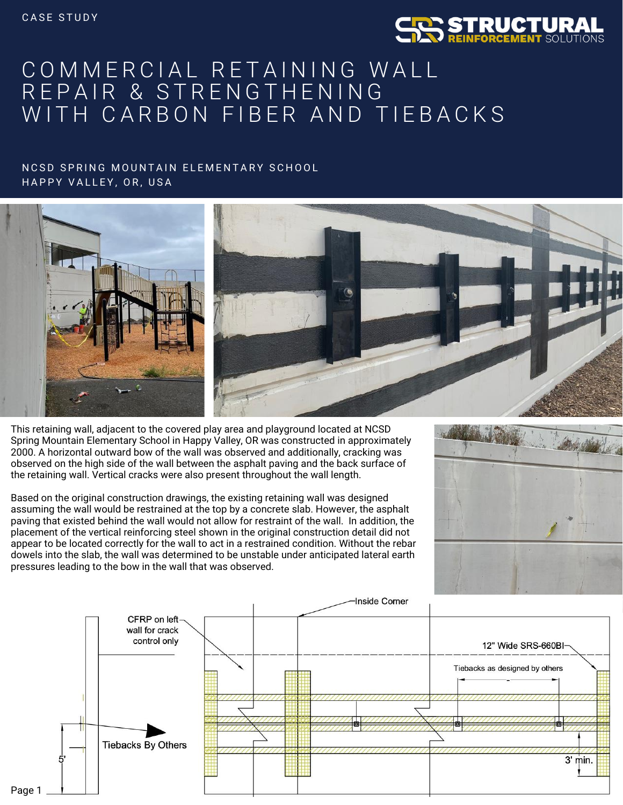

## COMMERCIAL RETAINING WALL REPAIR & STRENGTHENING WITH CARBON FIBER AND TIEBACKS

## NCSD SPRING MOUNTAIN ELEMENTARY SCHOOL HAPPY VALLEY, OR, USA



This retaining wall, adjacent to the covered play area and playground located at NCSD Spring Mountain Elementary School in Happy Valley, OR was constructed in approximately 2000. A horizontal outward bow of the wall was observed and additionally, cracking was observed on the high side of the wall between the asphalt paving and the back surface of the retaining wall. Vertical cracks were also present throughout the wall length.

Based on the original construction drawings, the existing retaining wall was designed assuming the wall would be restrained at the top by a concrete slab. However, the asphalt paving that existed behind the wall would not allow for restraint of the wall. In addition, the placement of the vertical reinforcing steel shown in the original construction detail did not appear to be located correctly for the wall to act in a restrained condition. Without the rebar dowels into the slab, the wall was determined to be unstable under anticipated lateral earth pressures leading to the bow in the wall that was observed.